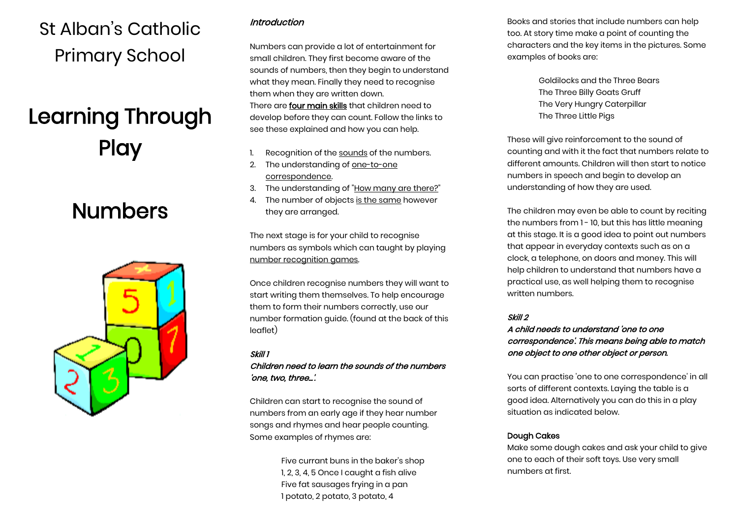## St Alban's Catholic Primary School

# Learning Through **Play**

## Numbers



### Introduction

Numbers can provide a lot of entertainment for small children. They first become aware of the sounds of numbers, then they begin to understand what they mean. Finally they need to recognise them when they are written down. There are four main skills that children need to develop before they can count. Follow the links to see these explained and how you can help.

- 1. Recognition of th[e sounds](http://www.topmarks.co.uk/Parents/Numbers1.aspx) of the numbers.
- 2. The understanding o[f one-to-one](http://www.topmarks.co.uk/Parents/Numbers2.aspx)  [correspondence.](http://www.topmarks.co.uk/Parents/Numbers2.aspx)
- 3. The understanding of ["How many are there?"](http://www.topmarks.co.uk/Parents/Numbers3.aspx)
- 4. The number of objects [is the same](http://www.topmarks.co.uk/Parents/Numbers4.aspx) however they are arranged.

The next stage is for your child to recognise numbers as symbols which can taught by playing [number recognition games.](http://www.topmarks.co.uk/Parents/Numbers5.aspx) 

Once children recognise numbers they will want to start writing them themselves. To help encourage them to form their numbers correctly, use our [number formation guide.](http://www.topmarks.co.uk/Parents/Numbers6.aspx) (found at the back of this leaflet)

#### Skill 1

#### Children need to learn the sounds of the numbers 'one, two, three...'.

Children can start to recognise the sound of numbers from an early age if they hear number songs and rhymes and hear people counting. Some examples of rhymes are:

> Five currant buns in the baker's shop 1, 2, 3, 4, 5 Once I caught a fish alive Five fat sausages frying in a pan 1 potato, 2 potato, 3 potato, 4

Books and stories that include numbers can help too. At story time make a point of counting the characters and the key items in the pictures. Some examples of books are:

> Goldilocks and the Three Bears The Three Billy Goats Gruff The Very Hungry Caterpillar The Three Little Pigs

These will give reinforcement to the sound of counting and with it the fact that numbers relate to different amounts. Children will then start to notice numbers in speech and begin to develop an understanding of how they are used.

The children may even be able to count by reciting the numbers from 1 - 10, but this has little meaning at this stage. It is a good idea to point out numbers that appear in everyday contexts such as on a clock, a telephone, on doors and money. This will help children to understand that numbers have a practical use, as well helping them to recognise written numbers.

#### Skill 2

#### A child needs to understand 'one to one correspondence'. This means being able to match one object to one other object or person.

You can practise 'one to one correspondence' in all sorts of different contexts. Laying the table is a good idea. Alternatively you can do this in a play situation as indicated below.

#### Dough Cakes

Make some dough cakes and ask your child to give one to each of their soft toys. Use very small numbers at first.